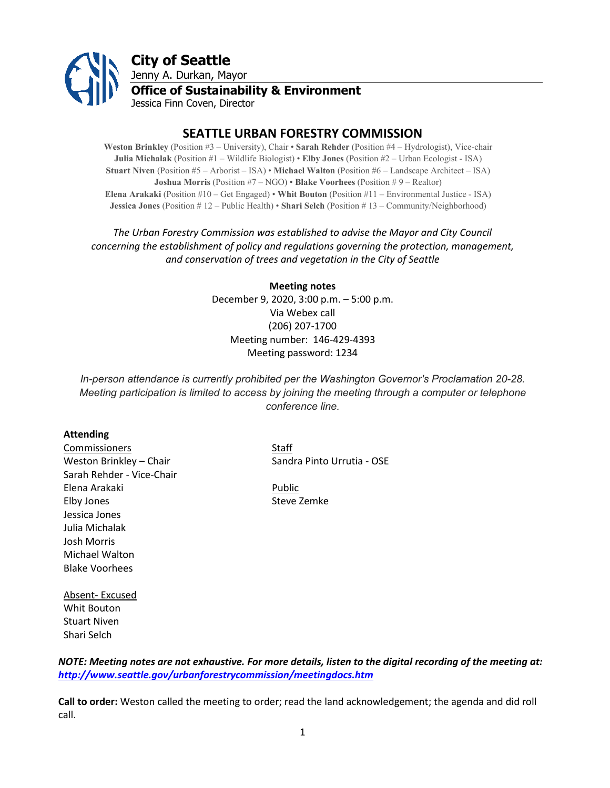

# **SEATTLE URBAN FORESTRY COMMISSION**

**Weston Brinkley** (Position #3 – University), Chair • **Sarah Rehder** (Position #4 – Hydrologist), Vice-chair **Julia Michalak** (Position #1 – Wildlife Biologist) • **Elby Jones** (Position #2 – Urban Ecologist - ISA) **Stuart Niven** (Position #5 – Arborist – ISA) • **Michael Walton** (Position #6 – Landscape Architect – ISA) **Joshua Morris** (Position #7 – NGO) • **Blake Voorhees** (Position # 9 – Realtor) **Elena Arakaki** (Position #10 – Get Engaged) • **Whit Bouton** (Position #11 – Environmental Justice - ISA) **Jessica Jones** (Position # 12 – Public Health) • **Shari Selch** (Position # 13 – Community/Neighborhood)

## *The Urban Forestry Commission was established to advise the Mayor and City Council concerning the establishment of policy and regulations governing the protection, management, and conservation of trees and vegetation in the City of Seattle*

# **Meeting notes** December 9, 2020, 3:00 p.m. – 5:00 p.m. Via Webex call (206) 207-1700 Meeting number: 146-429-4393 Meeting password: 1234

*In-person attendance is currently prohibited per the Washington Governor's Proclamation 20-28. Meeting participation is limited to access by joining the meeting through a computer or telephone conference line.*

### **Attending**

**Commissioners** Staff Sarah Rehder - Vice-Chair Elena Arakaki Public Elby Jones **Steve Zemke** Jessica Jones Julia Michalak Josh Morris Michael Walton Blake Voorhees

Weston Brinkley – Chair Sandra Pinto Urrutia - OSE

Absent- Excused Whit Bouton Stuart Niven Shari Selch

*NOTE: Meeting notes are not exhaustive. For more details, listen to the digital recording of the meeting at: <http://www.seattle.gov/urbanforestrycommission/meetingdocs.htm>*

**Call to order:** Weston called the meeting to order; read the land acknowledgement; the agenda and did roll call.